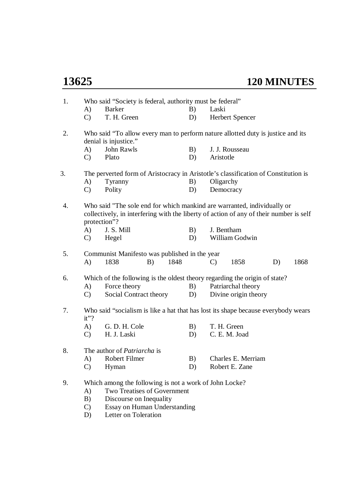| 1. |                                                                                           | Who said "Society is federal, authority must be federal"                                                                                                                          |    |                       |    |      |  |  |  |  |  |
|----|-------------------------------------------------------------------------------------------|-----------------------------------------------------------------------------------------------------------------------------------------------------------------------------------|----|-----------------------|----|------|--|--|--|--|--|
|    | A)                                                                                        | <b>Barker</b>                                                                                                                                                                     | B) | Laski                 |    |      |  |  |  |  |  |
|    | $\mathcal{C}$                                                                             | T. H. Green                                                                                                                                                                       | D) | Herbert Spencer       |    |      |  |  |  |  |  |
| 2. |                                                                                           | Who said "To allow every man to perform nature allotted duty is justice and its<br>denial is injustice."                                                                          |    |                       |    |      |  |  |  |  |  |
|    | A)                                                                                        | John Rawls                                                                                                                                                                        | B) | J. J. Rousseau        |    |      |  |  |  |  |  |
|    | $\mathbf{C}$                                                                              | Plato                                                                                                                                                                             | D) | Aristotle             |    |      |  |  |  |  |  |
| 3. |                                                                                           | The perverted form of Aristocracy in Aristotle's classification of Constitution is                                                                                                |    |                       |    |      |  |  |  |  |  |
|    | A)                                                                                        | Tyranny                                                                                                                                                                           | B) | Oligarchy             |    |      |  |  |  |  |  |
|    | $\mathcal{C}$                                                                             | Polity                                                                                                                                                                            | D) | Democracy             |    |      |  |  |  |  |  |
| 4. |                                                                                           | Who said "The sole end for which mankind are warranted, individually or<br>collectively, in interfering with the liberty of action of any of their number is self<br>protection"? |    |                       |    |      |  |  |  |  |  |
|    | A)                                                                                        | J. S. Mill                                                                                                                                                                        | B) | J. Bentham            |    |      |  |  |  |  |  |
|    | $\mathbf{C}$                                                                              | Hegel                                                                                                                                                                             | D) | William Godwin        |    |      |  |  |  |  |  |
| 5. |                                                                                           | Communist Manifesto was published in the year                                                                                                                                     |    |                       |    |      |  |  |  |  |  |
|    | A)                                                                                        | 1838<br>1848<br>B)                                                                                                                                                                |    | 1858<br>$\mathcal{C}$ | D) | 1868 |  |  |  |  |  |
| 6. | Which of the following is the oldest theory regarding the origin of state?                |                                                                                                                                                                                   |    |                       |    |      |  |  |  |  |  |
|    | A)                                                                                        | Force theory                                                                                                                                                                      | B) | Patriarchal theory    |    |      |  |  |  |  |  |
|    | $\mathbf{C}$                                                                              | Social Contract theory                                                                                                                                                            | D) | Divine origin theory  |    |      |  |  |  |  |  |
| 7. | Who said "socialism is like a hat that has lost its shape because everybody wears<br>it"? |                                                                                                                                                                                   |    |                       |    |      |  |  |  |  |  |
|    | A)                                                                                        | G. D. H. Cole                                                                                                                                                                     | B) | T. H. Green           |    |      |  |  |  |  |  |
|    | $\mathbf{C}$                                                                              | H. J. Laski                                                                                                                                                                       | D) | C. E. M. Joad         |    |      |  |  |  |  |  |
| 8. |                                                                                           | The author of <i>Patriarcha</i> is                                                                                                                                                |    |                       |    |      |  |  |  |  |  |
|    | A)                                                                                        | <b>Robert Filmer</b>                                                                                                                                                              | B) | Charles E. Merriam    |    |      |  |  |  |  |  |
|    | $\mathcal{C}$                                                                             | Hyman                                                                                                                                                                             | D) | Robert E. Zane        |    |      |  |  |  |  |  |
| 9. |                                                                                           | Which among the following is not a work of John Locke?                                                                                                                            |    |                       |    |      |  |  |  |  |  |
|    | A)                                                                                        | <b>Two Treatises of Government</b>                                                                                                                                                |    |                       |    |      |  |  |  |  |  |
|    | B)                                                                                        | Discourse on Inequality                                                                                                                                                           |    |                       |    |      |  |  |  |  |  |
|    |                                                                                           |                                                                                                                                                                                   |    |                       |    |      |  |  |  |  |  |

- C) Essay on Human Understanding
- D) Letter on Toleration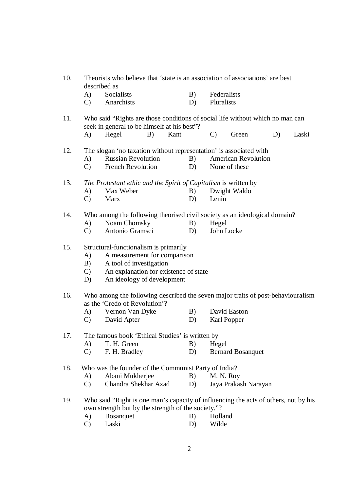| 10. | Theorists who believe that 'state is an association of associations' are best<br>described as |                                                                                                                                           |    |      |    |                            |                          |    |       |  |
|-----|-----------------------------------------------------------------------------------------------|-------------------------------------------------------------------------------------------------------------------------------------------|----|------|----|----------------------------|--------------------------|----|-------|--|
|     | A)                                                                                            | Socialists                                                                                                                                |    |      | B) | Federalists                |                          |    |       |  |
|     | $\mathbf{C}$                                                                                  | Anarchists                                                                                                                                |    |      | D) | Pluralists                 |                          |    |       |  |
| 11. |                                                                                               | Who said "Rights are those conditions of social life without which no man can                                                             |    |      |    |                            |                          |    |       |  |
|     |                                                                                               | seek in general to be himself at his best"?                                                                                               |    |      |    |                            |                          |    |       |  |
|     | A)                                                                                            | Hegel                                                                                                                                     | B) | Kant |    | $\mathbf{C}$               | Green                    | D) | Laski |  |
| 12. |                                                                                               | The slogan 'no taxation without representation' is associated with                                                                        |    |      |    |                            |                          |    |       |  |
|     | A)                                                                                            | <b>Russian Revolution</b>                                                                                                                 |    |      | B) | <b>American Revolution</b> |                          |    |       |  |
|     | $\mathbf{C}$                                                                                  | <b>French Revolution</b>                                                                                                                  |    |      | D) | None of these              |                          |    |       |  |
| 13. |                                                                                               |                                                                                                                                           |    |      |    |                            |                          |    |       |  |
|     |                                                                                               | The Protestant ethic and the Spirit of Capitalism is written by<br>Max Weber                                                              |    |      | B) |                            |                          |    |       |  |
|     | A)<br>$\mathbf{C}$                                                                            | <b>Marx</b>                                                                                                                               |    |      | D) | Lenin                      | Dwight Waldo             |    |       |  |
|     |                                                                                               |                                                                                                                                           |    |      |    |                            |                          |    |       |  |
| 14. |                                                                                               | Who among the following theorised civil society as an ideological domain?                                                                 |    |      |    |                            |                          |    |       |  |
|     | A)                                                                                            | Noam Chomsky                                                                                                                              |    |      | B) | Hegel                      |                          |    |       |  |
|     | $\mathbf{C}$                                                                                  | Antonio Gramsci                                                                                                                           |    |      | D) | John Locke                 |                          |    |       |  |
| 15. |                                                                                               | Structural-functionalism is primarily                                                                                                     |    |      |    |                            |                          |    |       |  |
|     | A)                                                                                            | A measurement for comparison                                                                                                              |    |      |    |                            |                          |    |       |  |
|     | A tool of investigation<br>B)                                                                 |                                                                                                                                           |    |      |    |                            |                          |    |       |  |
|     | An explanation for existence of state<br>$\mathbf{C}$                                         |                                                                                                                                           |    |      |    |                            |                          |    |       |  |
|     | D)                                                                                            | An ideology of development                                                                                                                |    |      |    |                            |                          |    |       |  |
| 16. |                                                                                               | Who among the following described the seven major traits of post-behaviouralism<br>as the 'Credo of Revolution'?                          |    |      |    |                            |                          |    |       |  |
|     | A)                                                                                            | Vernon Van Dyke                                                                                                                           |    |      | B) |                            | David Easton             |    |       |  |
|     | $\mathbf{C}$                                                                                  | David Apter                                                                                                                               |    |      | D) | Karl Popper                |                          |    |       |  |
|     |                                                                                               |                                                                                                                                           |    |      |    |                            |                          |    |       |  |
| 17. |                                                                                               | The famous book 'Ethical Studies' is written by                                                                                           |    |      |    |                            |                          |    |       |  |
|     | A)                                                                                            | T. H. Green                                                                                                                               |    |      | B) | Hegel                      |                          |    |       |  |
|     | $\mathcal{C}$                                                                                 | F. H. Bradley                                                                                                                             |    |      | D) |                            | <b>Bernard Bosanquet</b> |    |       |  |
| 18. |                                                                                               | Who was the founder of the Communist Party of India?                                                                                      |    |      |    |                            |                          |    |       |  |
|     | A)                                                                                            | Abani Mukherjee                                                                                                                           |    |      | B) | M. N. Roy                  |                          |    |       |  |
|     | $\mathbf{C}$                                                                                  | Chandra Shekhar Azad                                                                                                                      |    |      | D) |                            | Jaya Prakash Narayan     |    |       |  |
| 19. |                                                                                               | Who said "Right is one man's capacity of influencing the acts of others, not by his<br>own strength but by the strength of the society."? |    |      |    |                            |                          |    |       |  |
|     | A)                                                                                            | <b>Bosanquet</b>                                                                                                                          |    |      | B) | Holland                    |                          |    |       |  |
|     | $\mathcal{C}$                                                                                 | Laski                                                                                                                                     |    |      | D) | Wilde                      |                          |    |       |  |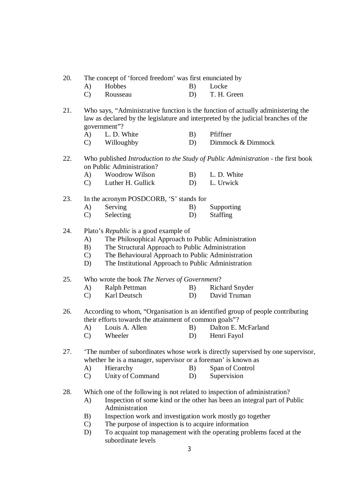- 20. The concept of 'forced freedom' was first enunciated by
	- A) Hobbes B) Locke
	- C) Rousseau D) T. H. Green
- 21. Who says, "Administrative function is the function of actually administering the law as declared by the legislature and interpreted by the judicial branches of the government"?
	- A) L. D. White B) Pfiffner
	- C) Willoughby D) Dimmock & Dimmock
- 22. Who published *Introduction to the Study of Public Administration* the first book on Public Administration?

| A)           | Woodrow Wilson    | B) | L. D. White |
|--------------|-------------------|----|-------------|
| $\mathbf{C}$ | Luther H. Gullick |    | L. Urwick   |

#### 23. In the acronym POSDCORB, 'S' stands for

- A) Serving B) Supporting
- C) Selecting D) Staffing
- 24. Plato's *Republic* is a good example of
	- A) The Philosophical Approach to Public Administration
	- B) The Structural Approach to Public Administration
	- C) The Behavioural Approach to Public Administration
	- D) The Institutional Approach to Public Administration

25. Who wrote the book *The Nerves of Government*?

- A) Ralph Pettman B) Richard Snyder
- C) Karl Deutsch D) David Truman
- 26. According to whom, "Organisation is an identified group of people contributing their efforts towards the attainment of common goals"?
	- A) Louis A. Allen B) Dalton E. McFarland
	- C) Wheeler D) Henri Fayol
- 27. 'The number of subordinates whose work is directly supervised by one supervisor, whether he is a manager, supervisor or a foreman' is known as
	- A) Hierarchy B) Span of Control
	- C) Unity of Command D) Supervision
- 28. Which one of the following is not related to inspection of administration?
	- A) Inspection of some kind or the other has been an integral part of Public Administration
	- B) Inspection work and investigation work mostly go together
	- C) The purpose of inspection is to acquire information
	- D) To acquaint top management with the operating problems faced at the subordinate levels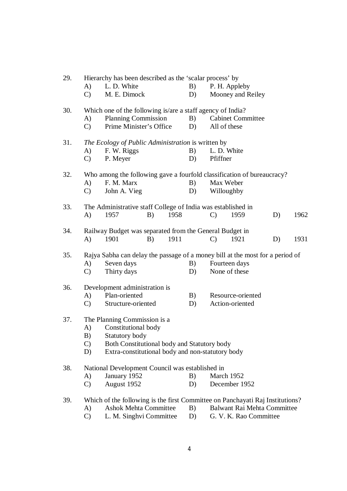| 29. | Hierarchy has been described as the 'scalar process' by |                                                                               |      |    |               |                             |    |      |  |  |  |
|-----|---------------------------------------------------------|-------------------------------------------------------------------------------|------|----|---------------|-----------------------------|----|------|--|--|--|
|     | A)                                                      | L. D. White                                                                   |      |    |               | P. H. Appleby               |    |      |  |  |  |
|     | $\mathbf{C}$                                            | M. E. Dimock                                                                  |      | D) |               | Mooney and Reiley           |    |      |  |  |  |
| 30. |                                                         | Which one of the following is/are a staff agency of India?                    |      |    |               |                             |    |      |  |  |  |
|     | A)                                                      | <b>Planning Commission</b>                                                    |      |    |               | <b>Cabinet Committee</b>    |    |      |  |  |  |
|     | $\mathbf{C}$                                            | Prime Minister's Office                                                       |      | D) |               | All of these                |    |      |  |  |  |
| 31. |                                                         | The Ecology of Public Administration is written by                            |      |    |               |                             |    |      |  |  |  |
|     | A)                                                      | F. W. Riggs                                                                   |      | B) |               | L. D. White                 |    |      |  |  |  |
|     | $\mathbf{C}$                                            | P. Meyer                                                                      |      | D) | Pfiffner      |                             |    |      |  |  |  |
| 32. |                                                         | Who among the following gave a fourfold classification of bureaucracy?        |      |    |               |                             |    |      |  |  |  |
|     | A)                                                      | F. M. Marx                                                                    |      | B) |               | Max Weber                   |    |      |  |  |  |
|     | $\mathbf{C}$                                            | John A. Vieg                                                                  |      | D) |               | Willoughby                  |    |      |  |  |  |
| 33. |                                                         | The Administrative staff College of India was established in                  |      |    |               |                             |    |      |  |  |  |
|     | A)                                                      | 1957<br>B)                                                                    | 1958 |    | $\mathcal{C}$ | 1959                        | D) | 1962 |  |  |  |
| 34. |                                                         | Railway Budget was separated from the General Budget in                       |      |    |               |                             |    |      |  |  |  |
|     | $\bf{A}$                                                | 1901<br>B)                                                                    | 1911 |    | $\mathcal{C}$ | 1921                        | D) | 1931 |  |  |  |
| 35. |                                                         | Rajya Sabha can delay the passage of a money bill at the most for a period of |      |    |               |                             |    |      |  |  |  |
|     | A)                                                      | Seven days                                                                    |      | B) | Fourteen days |                             |    |      |  |  |  |
|     | $\mathcal{C}$                                           | Thirty days                                                                   |      | D) |               | None of these               |    |      |  |  |  |
| 36. |                                                         | Development administration is                                                 |      |    |               |                             |    |      |  |  |  |
|     | A)                                                      | Plan-oriented                                                                 |      | B) |               | Resource-oriented           |    |      |  |  |  |
|     | $\mathbf{C}$                                            | Structure-oriented                                                            |      | D) |               | Action-oriented             |    |      |  |  |  |
| 37. |                                                         | The Planning Commission is a                                                  |      |    |               |                             |    |      |  |  |  |
|     | A)                                                      | Constitutional body                                                           |      |    |               |                             |    |      |  |  |  |
|     | B)                                                      | Statutory body                                                                |      |    |               |                             |    |      |  |  |  |
|     | $\mathcal{C}$                                           | Both Constitutional body and Statutory body                                   |      |    |               |                             |    |      |  |  |  |
|     | D)                                                      | Extra-constitutional body and non-statutory body                              |      |    |               |                             |    |      |  |  |  |
| 38. |                                                         | National Development Council was established in                               |      |    |               |                             |    |      |  |  |  |
|     | A)                                                      | January 1952                                                                  |      | B) |               | March 1952                  |    |      |  |  |  |
|     | $\mathcal{C}$                                           | August 1952                                                                   |      | D) |               | December 1952               |    |      |  |  |  |
| 39. |                                                         | Which of the following is the first Committee on Panchayati Raj Institutions? |      |    |               |                             |    |      |  |  |  |
|     | A)                                                      | <b>Ashok Mehta Committee</b>                                                  |      | B) |               | Balwant Rai Mehta Committee |    |      |  |  |  |
|     |                                                         |                                                                               |      |    |               |                             |    |      |  |  |  |

C) L. M. Singhvi Committee D) G. V. K. Rao Committee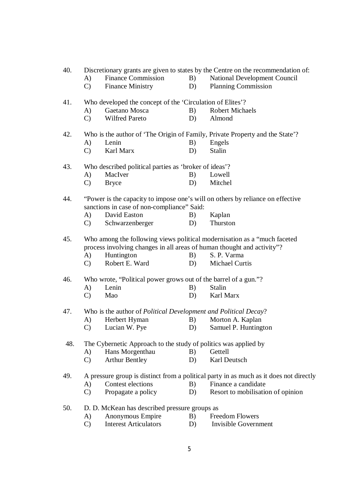| 40. |                    |                                                                                                        |          | Discretionary grants are given to states by the Centre on the recommendation of:                                 |
|-----|--------------------|--------------------------------------------------------------------------------------------------------|----------|------------------------------------------------------------------------------------------------------------------|
|     | A)                 | <b>Finance Commission</b>                                                                              | B)       | <b>National Development Council</b>                                                                              |
|     | $\mathbf{C}$       | <b>Finance Ministry</b>                                                                                | D)       | <b>Planning Commission</b>                                                                                       |
| 41. |                    | Who developed the concept of the 'Circulation of Elites'?                                              |          |                                                                                                                  |
|     | A)                 | Gaetano Mosca                                                                                          | B)       | <b>Robert Michaels</b>                                                                                           |
|     | $\mathcal{C}$      | Wilfred Pareto                                                                                         | D)       | Almond                                                                                                           |
| 42. |                    |                                                                                                        |          | Who is the author of 'The Origin of Family, Private Property and the State'?                                     |
|     | A)                 | Lenin                                                                                                  | B)       | Engels                                                                                                           |
|     | $\mathcal{C}$      | Karl Marx                                                                                              | D)       | <b>Stalin</b>                                                                                                    |
| 43. |                    | Who described political parties as 'broker of ideas'?                                                  |          |                                                                                                                  |
|     | A)                 | MacIver                                                                                                | B)       | Lowell                                                                                                           |
|     | $\mathcal{C}$      | <b>Bryce</b>                                                                                           | D)       | Mitchel                                                                                                          |
| 44. |                    | sanctions in case of non-compliance" Said:                                                             |          | "Power is the capacity to impose one's will on others by reliance on effective                                   |
|     | A)                 | David Easton                                                                                           | B)       | Kaplan                                                                                                           |
|     | C)                 | Schwarzenberger                                                                                        | D)       | Thurston                                                                                                         |
| 45. | A)<br>$\mathbf{C}$ | process involving changes in all areas of human thought and activity"?<br>Huntington<br>Robert E. Ward | B)<br>D) | Who among the following views political modernisation as a "much faceted<br>S. P. Varma<br><b>Michael Curtis</b> |
|     |                    |                                                                                                        |          |                                                                                                                  |
| 46. |                    | Who wrote, "Political power grows out of the barrel of a gun."?                                        |          |                                                                                                                  |
|     | A)                 | Lenin                                                                                                  | B)       | <b>Stalin</b>                                                                                                    |
|     | $\mathcal{C}$      | Mao                                                                                                    | D)       | Karl Marx                                                                                                        |
| 47. |                    | Who is the author of <i>Political Development and Political Decay</i> ?                                |          |                                                                                                                  |
|     | A)                 | Herbert Hyman                                                                                          | B)       | Morton A. Kaplan                                                                                                 |
|     | $\mathcal{C}$      | Lucian W. Pye                                                                                          | D)       | Samuel P. Huntington                                                                                             |
| 48. |                    | The Cybernetic Approach to the study of politics was applied by                                        |          |                                                                                                                  |
|     | A)                 | Hans Morgenthau                                                                                        | B)       | Gettell                                                                                                          |
|     | $\mathcal{C}$      | <b>Arthur Bentley</b>                                                                                  | D)       | Karl Deutsch                                                                                                     |
| 49. |                    |                                                                                                        |          | A pressure group is distinct from a political party in as much as it does not directly                           |
|     | A)                 | Contest elections                                                                                      | B)       | Finance a candidate                                                                                              |
|     | $\mathcal{C}$      | Propagate a policy                                                                                     | D)       | Resort to mobilisation of opinion                                                                                |
| 50. |                    | D. D. McKean has described pressure groups as                                                          |          |                                                                                                                  |
|     | A)                 | Anonymous Empire                                                                                       | B)       | <b>Freedom Flowers</b>                                                                                           |
|     | $\mathcal{C}$      | <b>Interest Articulators</b>                                                                           | D)       | <b>Invisible Government</b>                                                                                      |
|     |                    |                                                                                                        |          |                                                                                                                  |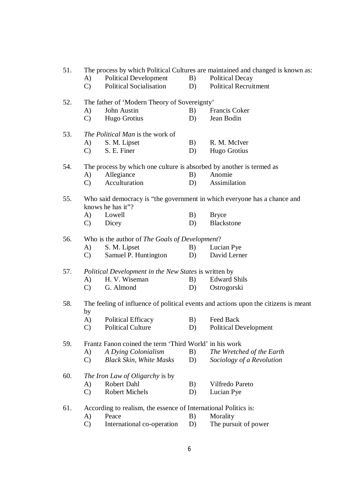| 51. |                 |                                                                      |    | The process by which Political Cultures are maintained and changed is known as:     |
|-----|-----------------|----------------------------------------------------------------------|----|-------------------------------------------------------------------------------------|
|     | A)              | <b>Political Development</b>                                         | B) | <b>Political Decay</b>                                                              |
|     | $\mathbf{C}$    | <b>Political Socialisation</b>                                       | D) | <b>Political Recruitment</b>                                                        |
| 52. |                 | The father of 'Modern Theory of Sovereignty'                         |    |                                                                                     |
|     | (A)             | John Austin                                                          | B) | Francis Coker                                                                       |
|     | $\mathbf{C}$    | Hugo Grotius                                                         | D) | Jean Bodin                                                                          |
| 53. |                 | The Political Man is the work of                                     |    |                                                                                     |
|     | A)              | S. M. Lipset                                                         | B) | R. M. McIver                                                                        |
|     | $\mathcal{C}$   | S. E. Finer                                                          | D) | Hugo Grotius                                                                        |
| 54. |                 | The process by which one culture is absorbed by another is termed as |    |                                                                                     |
|     | A)              | Allegiance                                                           | B) | Anomie                                                                              |
|     | $\mathbf{C}$    | Acculturation                                                        | D) | Assimilation                                                                        |
| 55. |                 | knows he has it"?                                                    |    | Who said democracy is "the government in which everyone has a chance and            |
|     | (A)             | Lowell                                                               | B) | <b>Bryce</b>                                                                        |
|     | $\mathbf{C}$    | Dicey                                                                | D) | <b>Blackstone</b>                                                                   |
| 56. |                 | Who is the author of The Goals of Development?                       |    |                                                                                     |
|     | A)              | S. M. Lipset                                                         | B) | Lucian Pye                                                                          |
|     | $\mathbf{C}$    | Samuel P. Huntington                                                 | D) | David Lerner                                                                        |
| 57. |                 | <i>Political Development in the New States is written by</i>         |    |                                                                                     |
|     | A)              | H. V. Wiseman                                                        | B) | <b>Edward Shils</b>                                                                 |
|     | $\mathcal{C}$ ) | G. Almond                                                            | D) | Ostrogorski                                                                         |
| 58. | by              |                                                                      |    | The feeling of influence of political events and actions upon the citizens is meant |
|     | A)              | <b>Political Efficacy</b>                                            | B) | Feed Back                                                                           |
|     | $\mathcal{C}$   | <b>Political Culture</b>                                             | D) | <b>Political Development</b>                                                        |
| 59. |                 | Frantz Fanon coined the term 'Third World' in his work               |    |                                                                                     |
|     | A)              | A Dying Colonialism                                                  | B) | The Wretched of the Earth                                                           |
|     | $\mathcal{C}$   | <b>Black Skin, White Masks</b>                                       | D) | Sociology of a Revolution                                                           |
| 60. |                 | <i>The Iron Law of Oligarchy</i> is by                               |    |                                                                                     |
|     | A)              | Robert Dahl                                                          | B) | Vilfredo Pareto                                                                     |
|     | $\mathcal{C}$   | <b>Robert Michels</b>                                                | D) | Lucian Pye                                                                          |
| 61. |                 | According to realism, the essence of International Politics is:      |    |                                                                                     |
|     | A)              | Peace                                                                | B) | Morality                                                                            |
|     | $\mathcal{C}$   | International co-operation                                           | D) | The pursuit of power                                                                |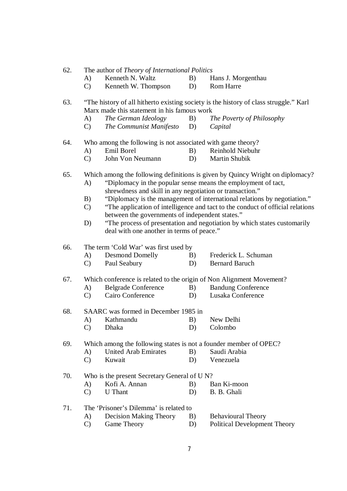| 62. | The author of <i>Theory of International Politics</i> |  |  |  |  |
|-----|-------------------------------------------------------|--|--|--|--|
|-----|-------------------------------------------------------|--|--|--|--|

- A) Kenneth N. Waltz B) Hans J. Morgenthau
- C) Kenneth W. Thompson D) Rom Harre
- 63. "The history of all hitherto existing society is the history of class struggle." Karl Marx made this statement in his famous work
	- A) *The German Ideology* B) *The Poverty of Philosophy*
		- C) *The Communist Manifesto* D) *Capital*
- 64. Who among the following is not associated with game theory?<br>
A) Emil Borel B) Reinhold Niebuhr
	- A) Emil Borel B) Reinhold Niebuhr
	- C) John Von Neumann D) Martin Shubik

65. Which among the following definitions is given by Quincy Wright on diplomacy?

- A) "Diplomacy in the popular sense means the employment of tact, shrewdness and skill in any negotiation or transaction."
- B) "Diplomacy is the management of international relations by negotiation."
- C) "The application of intelligence and tact to the conduct of official relations between the governments of independent states."
- D) "The process of presentation and negotiation by which states customarily deal with one another in terms of peace."

66. The term 'Cold War' was first used by

- A) Desmond Domelly B) Frederick L. Schuman
- C) Paul Seabury D) Bernard Baruch

67. Which conference is related to the origin of Non Alignment Movement?

- A) Belgrade Conference B) Bandung Conference
- C) Cairo Conference D) Lusaka Conference

68. SAARC was formed in December 1985 in

- A) Kathmandu B) New Delhi
- C) Dhaka D) Colombo

69. Which among the following states is not a founder member of OPEC?

- A) United Arab Emirates B) Saudi Arabia C) Kuwait D) Venezuela
- 
- 70. Who is the present Secretary General of U N?
	- A) Kofi A. Annan B) Ban Ki-moon
	- C) U Thant D) B. B. Ghali
- 71. The 'Prisoner's Dilemma' is related to
	- A) Decision Making Theory B) Behavioural Theory
	- C) Game Theory D) Political Development Theory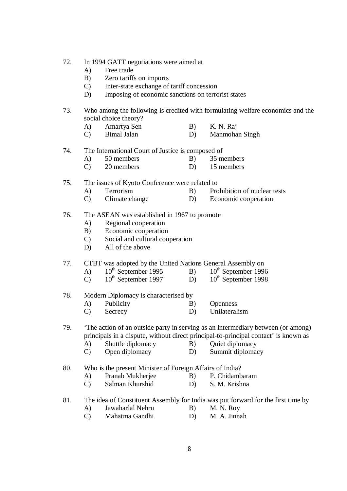| 72. | In 1994 GATT negotiations were aimed at |  |  |
|-----|-----------------------------------------|--|--|
|-----|-----------------------------------------|--|--|

- A) Free trade
- B) Zero tariffs on imports
- C) Inter-state exchange of tariff concession
- D) Imposing of economic sanctions on terrorist states
- 73. Who among the following is credited with formulating welfare economics and the social choice theory?
	- A) Amartya Sen B) K. N. Raj
	- C) Bimal Jalan D) Manmohan Singh

#### 74. The International Court of Justice is composed of

- A) 50 members B) 35 members<br>C) 20 members B) 15 members
- $20$  members D)

#### 75. The issues of Kyoto Conference were related to

- A) Terrorism B) Prohibition of nuclear tests
	- C) Climate change D) Economic cooperation

#### 76. The ASEAN was established in 1967 to promote

- A) Regional cooperation
- B) Economic cooperation
- C) Social and cultural cooperation
- D) All of the above

## 77. CTBT was adopted by the United Nations General Assembly on<br>A)  $10^{th}$  September 1995 B)  $10^{th}$  September 1996

- A)  $10^{th}$  September 1995 B)<br>
C)  $10^{th}$  September 1997 D)
- $\overrightarrow{C}$  10<sup>th</sup> September 1997 D) 10<sup>th</sup> September 1998

#### 78. Modern Diplomacy is characterised by

- A) Publicity B) Openness
- C) Secrecy D) Unilateralism

#### 79. 'The action of an outside party in serving as an intermediary between (or among) principals in a dispute, without direct principal-to-principal contact' is known as

- A) Shuttle diplomacy B) Quiet diplomacy
	- C) Open diplomacy D) Summit diplomacy

### 80. Who is the present Minister of Foreign Affairs of India?

- A) Pranab Mukherjee B) P. Chidambaram
- C) Salman Khurshid D) S. M. Krishna

#### 81. The idea of Constituent Assembly for India was put forward for the first time by

- A) Jawaharlal Nehru B) M. N. Roy
	- C) Mahatma Gandhi D) M. A. Jinnah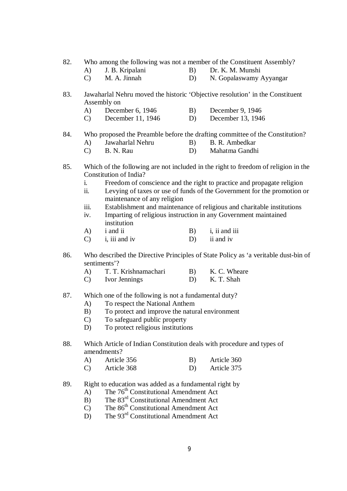- 82. Who among the following was not a member of the Constituent Assembly?<br>A) J. B. Kripalani B) Dr. K. M. Munshi
	- A) J. B. Kripalani B) Dr. K. M. Munshi
	- C) M. A. Jinnah D) N. Gopalaswamy Ayyangar
- 83. Jawaharlal Nehru moved the historic 'Objective resolution' in the Constituent Assembly on
	- A) December 6, 1946 B) December 9, 1946
	- C) December 11, 1946 D) December 13, 1946

## 84. Who proposed the Preamble before the drafting committee of the Constitution?

- A) Jawaharlal Nehru B) B. R. Ambedkar
- C) B. N. Rau D) Mahatma Gandhi
- 85. Which of the following are not included in the right to freedom of religion in the Constitution of India?
	- i. Freedom of conscience and the right to practice and propagate religion
	- ii. Levying of taxes or use of funds of the Government for the promotion or maintenance of any religion
	- iii. Establishment and maintenance of religious and charitable institutions
	- iv. Imparting of religious instruction in any Government maintained institution
	- A) i and ii B) i, ii and iii
	- C) i, iii and iv D) ii and iv
- 86. Who described the Directive Principles of State Policy as 'a veritable dust-bin of sentiments'?<br>A)  $T$ . T.
	- T. T. Krishnamachari B) K. C. Wheare
	- C) Ivor Jennings D) K. T. Shah
- 87. Which one of the following is not a fundamental duty?
	- A) To respect the National Anthem
	- B) To protect and improve the natural environment
	- C) To safeguard public property
	- D) To protect religious institutions
- 88. Which Article of Indian Constitution deals with procedure and types of amendments?
	- A) Article 356 B) Article 360
	- C) Article 368 D) Article 375
- 89. Right to education was added as a fundamental right by
	- A) The  $76<sup>th</sup>$  Constitutional Amendment Act
	- $\overrightarrow{B}$  The 83<sup>rd</sup> Constitutional Amendment Act
	- $(C)$  The 86<sup>th</sup> Constitutional Amendment Act
	- D) The 93<sup>rd</sup> Constitutional Amendment Act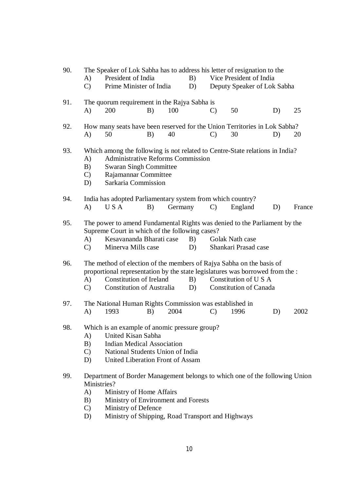| 90. | A)                              | The Speaker of Lok Sabha has to address his letter of resignation to the<br>President of India                                                                                                                              |    |         | B)       |              | Vice President of India                                |    |        |
|-----|---------------------------------|-----------------------------------------------------------------------------------------------------------------------------------------------------------------------------------------------------------------------------|----|---------|----------|--------------|--------------------------------------------------------|----|--------|
|     | $\mathcal{C}$                   | Prime Minister of India                                                                                                                                                                                                     |    |         | D)       |              | Deputy Speaker of Lok Sabha                            |    |        |
| 91. | A)                              | The quorum requirement in the Rajya Sabha is<br>200                                                                                                                                                                         | B) | 100     |          | $\mathbf{C}$ | 50                                                     | D) | 25     |
| 92. | A)                              | How many seats have been reserved for the Union Territories in Lok Sabha?<br>50                                                                                                                                             | B) | 40      |          | $\mathbf{C}$ | 30                                                     | D) | 20     |
| 93. | A)<br>B)<br>$\mathcal{C}$<br>D) | Which among the following is not related to Centre-State relations in India?<br><b>Administrative Reforms Commission</b><br><b>Swaran Singh Committee</b><br>Rajamannar Committee<br>Sarkaria Commission                    |    |         |          |              |                                                        |    |        |
| 94. | A)                              | India has adopted Parliamentary system from which country?<br>U S A                                                                                                                                                         | B) | Germany |          | $\mathbf{C}$ | England                                                | D) | France |
| 95. | A)<br>$\mathcal{C}$             | The power to amend Fundamental Rights was denied to the Parliament by the<br>Supreme Court in which of the following cases?<br>Kesavananda Bharati case<br>Minerva Mills case                                               |    |         | B)<br>D) |              | Golak Nath case<br>Shankari Prasad case                |    |        |
| 96. | A)<br>$\mathbf{C}$              | The method of election of the members of Rajya Sabha on the basis of<br>proportional representation by the state legislatures was borrowed from the :<br><b>Constitution of Ireland</b><br><b>Constitution of Australia</b> |    |         | B)<br>D) |              | Constitution of U S A<br><b>Constitution of Canada</b> |    |        |
| 97. | A)                              | The National Human Rights Commission was established in<br>1993                                                                                                                                                             | B) | 2004    |          | $\mathbf{C}$ | 1996                                                   | D) | 2002   |
| 98  | A)<br>B)<br>$\mathcal{C}$<br>D) | Which is an example of anomic pressure group?<br>United Kisan Sabha<br><b>Indian Medical Association</b><br>National Students Union of India<br>United Liberation Front of Assam                                            |    |         |          |              |                                                        |    |        |
| 99. | Ministries?<br>A)<br>B)         | Department of Border Management belongs to which one of the following Union<br>Ministry of Home Affairs<br>Ministry of Environment and Forests                                                                              |    |         |          |              |                                                        |    |        |

- C) Ministry of Defence
- D) Ministry of Shipping, Road Transport and Highways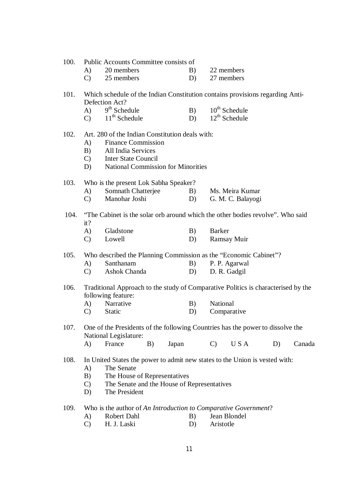#### 100. Public Accounts Committee consists of

| A) | 20 members | 22 members |
|----|------------|------------|
|    |            |            |

C) 25 members D) 27 members

#### 101. Which schedule of the Indian Constitution contains provisions regarding Anti-Defection Act?

| A)           | $9th$ Schedule  | B) | $10^{th}$ Schedule |
|--------------|-----------------|----|--------------------|
| $\mathbf{C}$ | $11th$ Schedule |    | $12^{th}$ Schedule |

#### 102. Art. 280 of the Indian Constitution deals with:

- A) Finance Commission
- B) All India Services
- C) Inter State Council
- D) National Commission for Minorities

#### 103. Who is the present Lok Sabha Speaker?

| A)            | Somnath Chatterjee | B) | Ms. Meira Kumar   |
|---------------|--------------------|----|-------------------|
| $\mathcal{C}$ | Manohar Joshi      |    | G. M. C. Balayogi |

#### 104. "The Cabinet is the solar orb around which the other bodies revolve". Who said it?

| A)            | Gladstone | Barker      |
|---------------|-----------|-------------|
| $\mathcal{C}$ | Lowell    | Ramsay Muir |

#### 105. Who described the Planning Commission as the "Economic Cabinet"?

- A) Santhanam B) P. P. Agarwal
- C) Ashok Chanda D) D. R. Gadgil
- 106. Traditional Approach to the study of Comparative Politics is characterised by the following feature:
	- A) Narrative B) National C) Static D) Comparative

107. One of the Presidents of the following Countries has the power to dissolve the National Legislature: A) France B) Japan C) U S A D) Canada

#### 108. In United States the power to admit new states to the Union is vested with:

- A) The Senate
- B) The House of Representatives
- C) The Senate and the House of Representatives
- D) The President

#### 109. Who is the author of *An Introduction to Comparative Government*?

- A) Robert Dahl B) Jean Blondel
- C) H. J. Laski D) Aristotle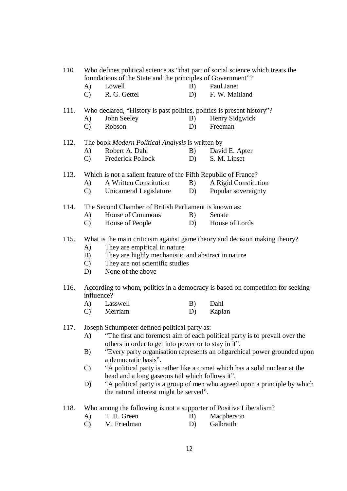| 110. | Who defines political science as "that part of social science which treats the<br>foundations of the State and the principles of Government"?  |                                                                                                                                  |    |                                                                           |  |  |  |
|------|------------------------------------------------------------------------------------------------------------------------------------------------|----------------------------------------------------------------------------------------------------------------------------------|----|---------------------------------------------------------------------------|--|--|--|
|      | A)                                                                                                                                             | Lowell                                                                                                                           | B) | Paul Janet                                                                |  |  |  |
|      | $\mathbf{C}$                                                                                                                                   | R. G. Gettel                                                                                                                     | D) | F. W. Maitland                                                            |  |  |  |
| 111. | Who declared, "History is past politics, politics is present history"?                                                                         |                                                                                                                                  |    |                                                                           |  |  |  |
|      | A)                                                                                                                                             | John Seeley                                                                                                                      | B) | Henry Sidgwick                                                            |  |  |  |
|      | $\mathbf{C}$                                                                                                                                   | Robson                                                                                                                           | D) | Freeman                                                                   |  |  |  |
| 112. |                                                                                                                                                | The book Modern Political Analysis is written by                                                                                 |    |                                                                           |  |  |  |
|      | A)                                                                                                                                             | Robert A. Dahl                                                                                                                   | B) | David E. Apter                                                            |  |  |  |
|      | $\mathbf{C}$                                                                                                                                   | Frederick Pollock                                                                                                                | D) | S. M. Lipset                                                              |  |  |  |
| 113. | Which is not a salient feature of the Fifth Republic of France?                                                                                |                                                                                                                                  |    |                                                                           |  |  |  |
|      | A)                                                                                                                                             | A Written Constitution                                                                                                           | B) | A Rigid Constitution                                                      |  |  |  |
|      | $\mathbf{C}$                                                                                                                                   | Unicameral Legislature                                                                                                           | D) | Popular sovereignty                                                       |  |  |  |
| 114. |                                                                                                                                                | The Second Chamber of British Parliament is known as:                                                                            |    |                                                                           |  |  |  |
|      | A)                                                                                                                                             | <b>House of Commons</b>                                                                                                          | B) | Senate                                                                    |  |  |  |
|      | $\mathbf{C}$                                                                                                                                   | House of People                                                                                                                  | D) | House of Lords                                                            |  |  |  |
| 115. | What is the main criticism against game theory and decision making theory?                                                                     |                                                                                                                                  |    |                                                                           |  |  |  |
|      | A)                                                                                                                                             | They are empirical in nature                                                                                                     |    |                                                                           |  |  |  |
|      | B)                                                                                                                                             | They are highly mechanistic and abstract in nature                                                                               |    |                                                                           |  |  |  |
|      | $\mathbf{C}$                                                                                                                                   | They are not scientific studies                                                                                                  |    |                                                                           |  |  |  |
|      | D)                                                                                                                                             | None of the above                                                                                                                |    |                                                                           |  |  |  |
| 116. | According to whom, politics in a democracy is based on competition for seeking<br>influence?                                                   |                                                                                                                                  |    |                                                                           |  |  |  |
|      | A)                                                                                                                                             | Lasswell                                                                                                                         | B) | Dahl                                                                      |  |  |  |
|      | $\mathbf{C}$                                                                                                                                   | Merriam                                                                                                                          | D) | Kaplan                                                                    |  |  |  |
| 117. |                                                                                                                                                | Joseph Schumpeter defined political party as:                                                                                    |    |                                                                           |  |  |  |
|      | "The first and foremost aim of each political party is to prevail over the<br>A)                                                               |                                                                                                                                  |    |                                                                           |  |  |  |
|      | B)                                                                                                                                             | others in order to get into power or to stay in it".<br>"Every party organisation represents an oligarchical power grounded upon |    |                                                                           |  |  |  |
|      |                                                                                                                                                | a democratic basis".                                                                                                             |    |                                                                           |  |  |  |
|      | "A political party is rather like a comet which has a solid nuclear at the<br>$\mathcal{C}$<br>head and a long gaseous tail which follows it". |                                                                                                                                  |    |                                                                           |  |  |  |
|      | D)                                                                                                                                             |                                                                                                                                  |    | "A political party is a group of men who agreed upon a principle by which |  |  |  |
|      |                                                                                                                                                | the natural interest might be served".                                                                                           |    |                                                                           |  |  |  |
| 118. |                                                                                                                                                | Who among the following is not a supporter of Positive Liberalism?                                                               |    |                                                                           |  |  |  |
|      | A)                                                                                                                                             | T. H. Green                                                                                                                      | B) | Macpherson                                                                |  |  |  |
|      | $\mathcal{C}$                                                                                                                                  | M. Friedman                                                                                                                      | D) | Galbraith                                                                 |  |  |  |
|      |                                                                                                                                                |                                                                                                                                  |    |                                                                           |  |  |  |